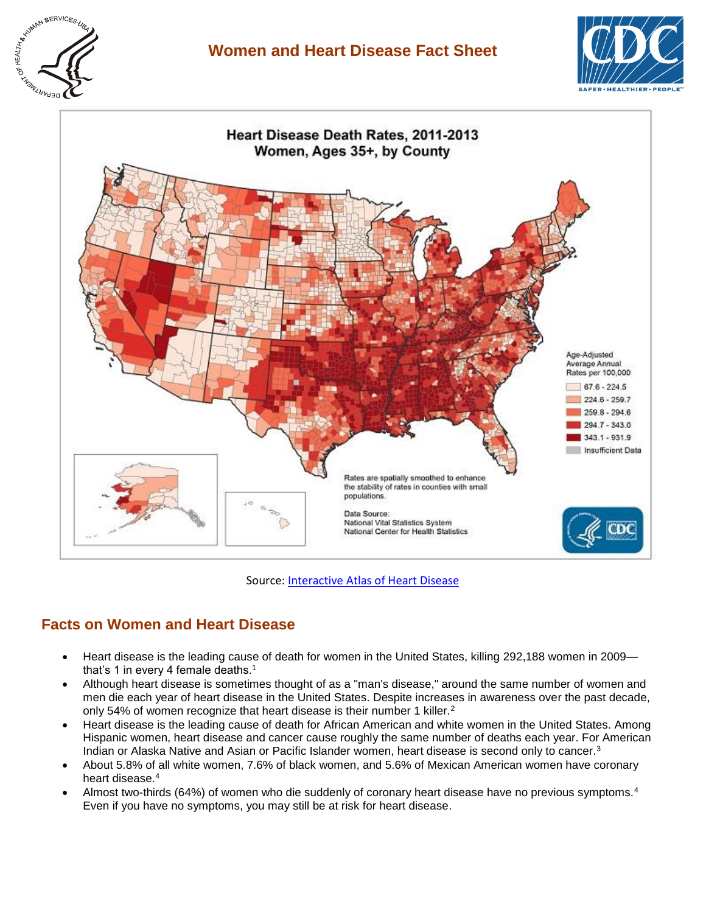

## **Women and Heart Disease Fact Sheet**





Source[: Interactive Atlas of Heart Disease](http://www.cdc.gov/dhdsp/maps/atlas/)

### **Facts on Women and Heart Disease**

- Heart disease is the leading cause of death for women in the United States, killing 292,188 women in 2009 that's 1 in every 4 female deaths. $1$
- Although heart disease is sometimes thought of as a "man's disease," around the same number of women and men die each year of heart disease in the United States. Despite increases in awareness over the past decade, only 54% of women recognize that heart disease is their number 1 killer.<sup>2</sup>
- Heart disease is the leading cause of death for African American and white women in the United States. Among Hispanic women, heart disease and cancer cause roughly the same number of deaths each year. For American Indian or Alaska Native and Asian or Pacific Islander women, heart disease is second only to cancer. $3$
- About 5.8% of all white women, 7.6% of black women, and 5.6% of Mexican American women have coronary heart disease.<sup>4</sup>
- Almost two-thirds (64%) of women who die suddenly of coronary heart disease have no previous symptoms.<sup>4</sup> Even if you have no symptoms, you may still be at risk for heart disease.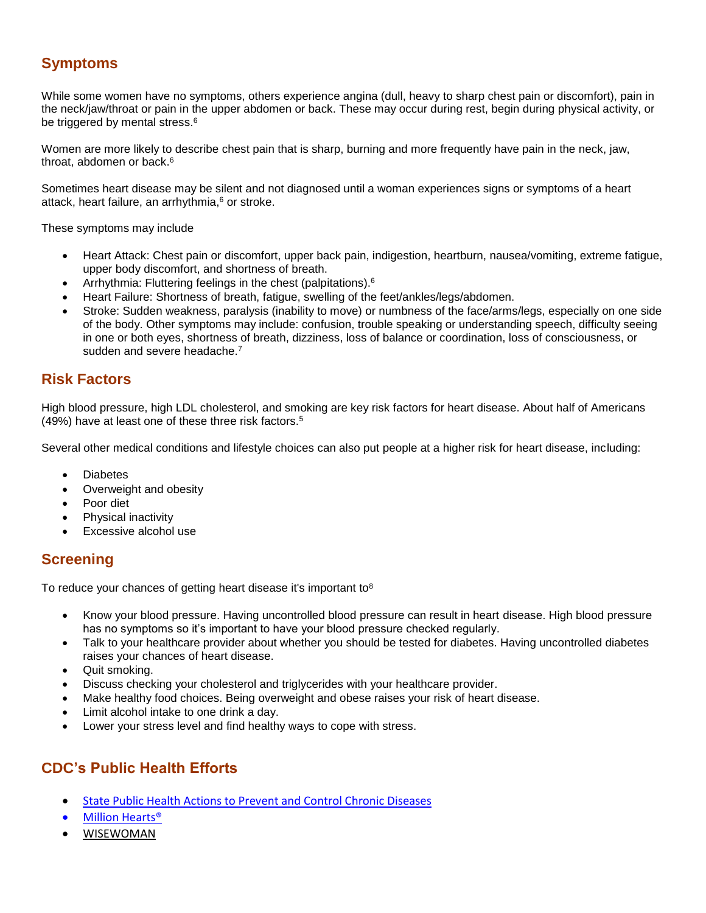# **Symptoms**

While some women have no symptoms, others experience angina (dull, heavy to sharp chest pain or discomfort), pain in the neck/jaw/throat or pain in the upper abdomen or back. These may occur during rest, begin during physical activity, or be triggered by mental stress.<sup>6</sup>

Women are more likely to describe chest pain that is sharp, burning and more frequently have pain in the neck, jaw, throat, abdomen or back.<sup>6</sup>

Sometimes heart disease may be silent and not diagnosed until a woman experiences signs or symptoms of a heart attack, heart failure, an arrhythmia,<sup>6</sup> or stroke.

These symptoms may include

- Heart Attack: Chest pain or discomfort, upper back pain, indigestion, heartburn, nausea/vomiting, extreme fatigue, upper body discomfort, and shortness of breath.
- Arrhythmia: Fluttering feelings in the chest (palpitations).<sup>6</sup>
- Heart Failure: Shortness of breath, fatigue, swelling of the feet/ankles/legs/abdomen.
- Stroke: Sudden weakness, paralysis (inability to move) or numbness of the face/arms/legs, especially on one side of the body. Other symptoms may include: confusion, trouble speaking or understanding speech, difficulty seeing in one or both eyes, shortness of breath, dizziness, loss of balance or coordination, loss of consciousness, or sudden and severe headache.<sup>7</sup>

### **Risk Factors**

High blood pressure, high LDL cholesterol, and smoking are key risk factors for heart disease. About half of Americans (49%) have at least one of these three risk factors.<sup>5</sup>

Several other medical conditions and lifestyle choices can also put people at a higher risk for heart disease, including:

- **Diabetes**
- Overweight and obesity
- Poor diet
- Physical inactivity
- Excessive alcohol use

#### **Screening**

To reduce your chances of getting heart disease it's important to<sup>8</sup>

- Know your blood pressure. Having uncontrolled blood pressure can result in heart disease. High blood pressure has no symptoms so it's important to have your blood pressure checked regularly.
- Talk to your healthcare provider about whether you should be tested for diabetes. Having uncontrolled diabetes raises your chances of heart disease.
- Quit smoking.
- Discuss checking your cholesterol and triglycerides with your healthcare provider.
- Make healthy food choices. Being overweight and obese raises your risk of heart disease.
- Limit alcohol intake to one drink a day.
- Lower your stress level and find healthy ways to cope with stress.

### **CDC's Public Health Efforts**

- [State Public Health Actions to Prevent and Control Chronic Diseases](http://www.cdc.gov/dhdsp/programs/spha/)
- [Million Hearts®](http://millionhearts.hhs.gov/)
- [WISEWOMAN](http://www.cdc.gov/wisewoman)